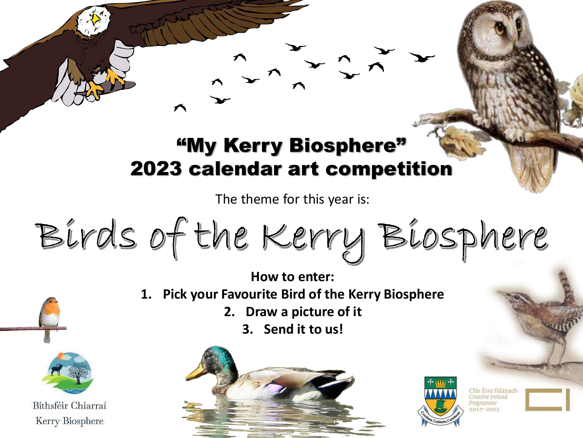

## "My Kerry Biosphere" 2023 calendar art competition

The theme for this year is:

Birds of the Kerry Biosphere

### **How to enter: 1. Pick your Favourite Bird of the Kerry Biosphere**

- **2. Draw a picture of it**
	- **3. Send it to us!**



Bithsféir Chiarraí Kerry Biosphere





Clár Éire Ildánach Creative Ireland  $.017 - 2022$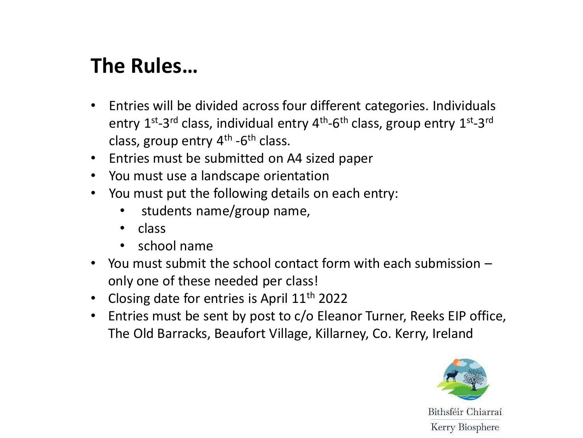## **The Rules…**

- Entries will be divided across four different categories. Individuals entry 1<sup>st</sup>-3<sup>rd</sup> class, individual entry 4<sup>th</sup>-6<sup>th</sup> class, group entry 1<sup>st</sup>-3<sup>rd</sup> class, group entry 4<sup>th</sup> -6<sup>th</sup> class.
- Entries must be submitted on A4 sized paper
- You must use a landscape orientation
- You must put the following details on each entry:
	- students name/group name,
	- class
	- school name
- You must submit the school contact form with each submission only one of these needed per class!
- Closing date for entries is April  $11<sup>th</sup>$  2022
- Entries must be sent by post to c/o Eleanor Turner, Reeks EIP office, The Old Barracks, Beaufort Village, Killarney, Co. Kerry, Ireland



Bithsféir Chiarraí Kerry Biosphere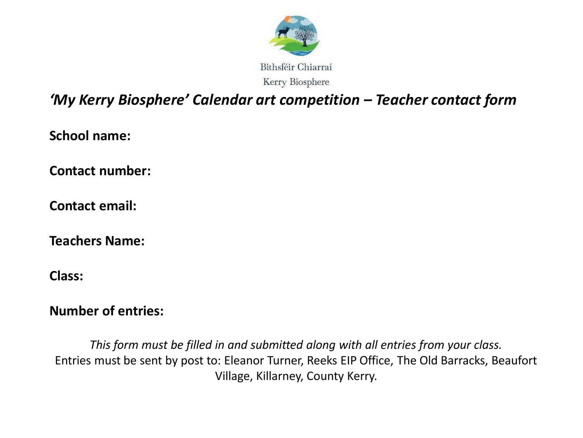

*'My Kerry Biosphere' Calendar art competition – Teacher contact form*

**School name:**

**Contact number:**

**Contact email:**

**Teachers Name:**

**Class:**

#### **Number of entries:**

*This form must be filled in and submitted along with all entries from your class.* Entries must be sent by post to: Eleanor Turner, Reeks EIP Office, The Old Barracks, Beaufort Village, Killarney, County Kerry.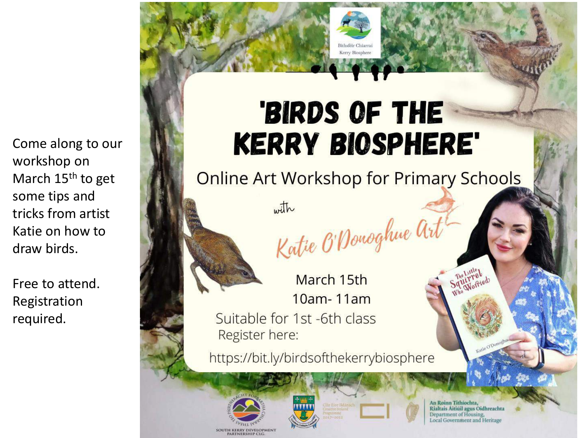Come along to our workshop on March  $15<sup>th</sup>$  to get some tips and tricks from artist Katie on how to draw birds.

Free to attend. Registration required.

# **BIRDS OF THE KERRY BIOSPHERE'**

Kerry Biosphere

**Online Art Workshop for Primary Schools** 

with



Katie O'Donoghue art

March 15th 10am-11am Suitable for 1st -6th class Register here:

https://bit.ly/birdsofthekerrybiosphere

SOUTH KERRY DEVELOPMENT<br>PARTNERSHIP CLG.



An Roinn Tithiochta, Rialtais Áitiúil agus Oidhreachta Department of Housing, Local Government and Heritage

Worried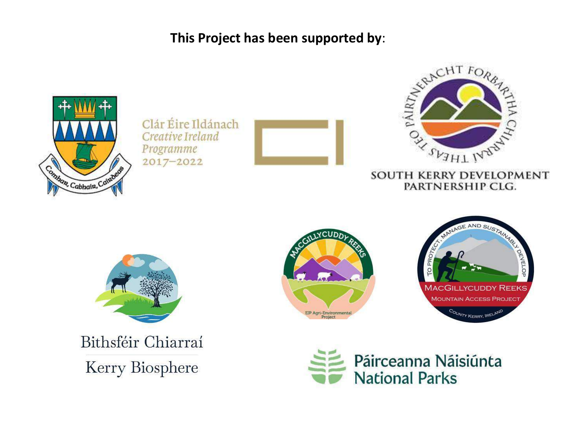**This Project has been supported by**:



Clár Éire Ildánach Creative Ireland Programme 2017-2022





#### SOUTH KERRY DEVELOPMENT PARTNERSHIP CLG.



Bithsféir Chiarraí Kerry Biosphere





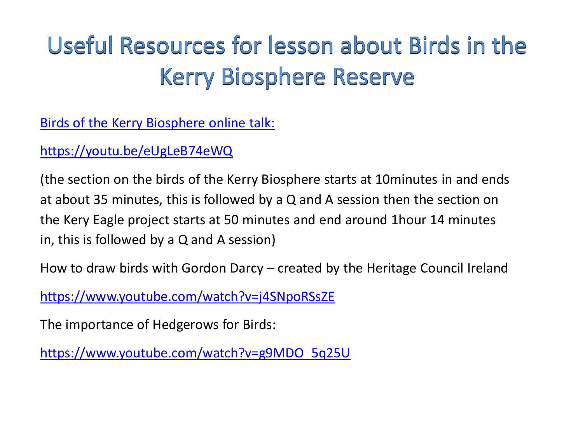## Useful Resources for lesson about Birds in the **Kerry Biosphere Reserve**

**Birds of the Kerry Biosphere online talk:** 

<https://youtu.be/eUgLeB74eWQ>

(the section on the birds of the Kerry Biosphere starts at 10minutes in and ends at about 35 minutes, this is followed by a Q and A session then the section on the Kery Eagle project starts at 50 minutes and end around 1hour 14 minutes in, this is followed by a Q and A session)

How to draw birds with Gordon Darcy – created by the Heritage Council Ireland

<https://www.youtube.com/watch?v=j4SNpoRSsZE>

The importance of Hedgerows for Birds:

[https://www.youtube.com/watch?v=g9MDO\\_5q25U](https://www.youtube.com/watch?v=g9MDO_5q25U)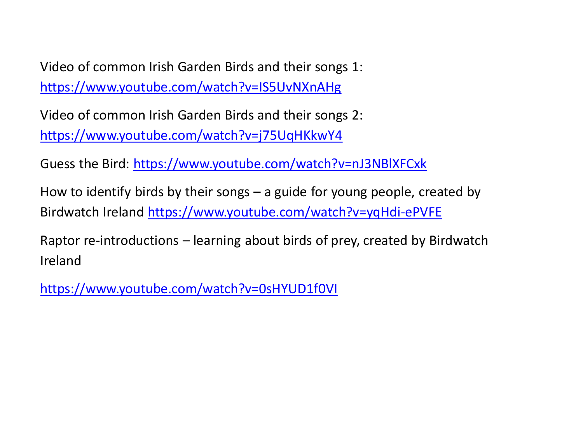Video of common Irish Garden Birds and their songs 1: <https://www.youtube.com/watch?v=IS5UvNXnAHg>

Video of common Irish Garden Birds and their songs 2: <https://www.youtube.com/watch?v=j75UqHKkwY4>

Guess the Bird: <https://www.youtube.com/watch?v=nJ3NBlXFCxk>

How to identify birds by their songs – a guide for young people, created by Birdwatch Ireland <https://www.youtube.com/watch?v=yqHdi-ePVFE>

Raptor re-introductions – learning about birds of prey, created by Birdwatch Ireland

<https://www.youtube.com/watch?v=0sHYUD1f0VI>